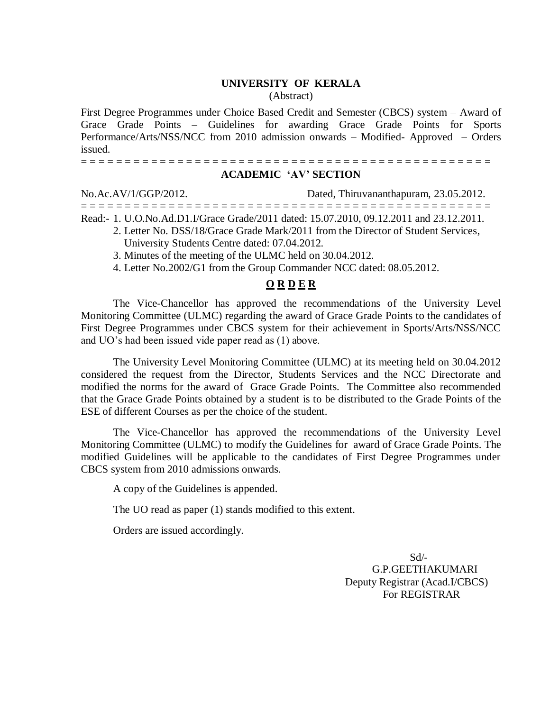## **UNIVERSITY OF KERALA**

(Abstract)

First Degree Programmes under Choice Based Credit and Semester (CBCS) system – Award of Grace Grade Points – Guidelines for awarding Grace Grade Points for Sports Performance/Arts/NSS/NCC from 2010 admission onwards – Modified- Approved – Orders issued.

## = = = = = = = = = = = = = = = = = = = = = = = = = = = = = = = = = = = = = = = = = = = = = = = **ACADEMIC 'AV' SECTION**

No.Ac.AV/1/GGP/2012. Dated, Thiruvananthapuram, 23.05.2012. = = = = = = = = = = = = = = = = = = = = = = = = = = = = = = = = = = = = = = = = = = = = = = = Read:- 1. U.O.No.Ad.D1.I/Grace Grade/2011 dated: 15.07.2010, 09.12.2011 and 23.12.2011.

- 2. Letter No. DSS/18/Grace Grade Mark/2011 from the Director of Student Services, University Students Centre dated: 07.04.2012.
- 3. Minutes of the meeting of the ULMC held on 30.04.2012.
- 4. Letter No.2002/G1 from the Group Commander NCC dated: 08.05.2012.

## **O R D E R**

The Vice-Chancellor has approved the recommendations of the University Level Monitoring Committee (ULMC) regarding the award of Grace Grade Points to the candidates of First Degree Programmes under CBCS system for their achievement in Sports/Arts/NSS/NCC and UO's had been issued vide paper read as (1) above.

The University Level Monitoring Committee (ULMC) at its meeting held on 30.04.2012 considered the request from the Director, Students Services and the NCC Directorate and modified the norms for the award of Grace Grade Points. The Committee also recommended that the Grace Grade Points obtained by a student is to be distributed to the Grade Points of the ESE of different Courses as per the choice of the student.

The Vice-Chancellor has approved the recommendations of the University Level Monitoring Committee (ULMC) to modify the Guidelines for award of Grace Grade Points. The modified Guidelines will be applicable to the candidates of First Degree Programmes under CBCS system from 2010 admissions onwards.

A copy of the Guidelines is appended.

The UO read as paper (1) stands modified to this extent.

Orders are issued accordingly.

 Sd/- G.P.GEETHAKUMARI Deputy Registrar (Acad.I/CBCS) For REGISTRAR